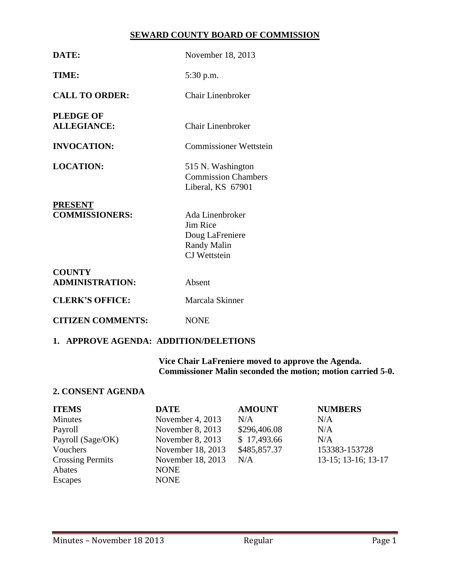## **SEWARD COUNTY BOARD OF COMMISSION**

| TIME:<br>5:30 p.m.<br><b>CALL TO ORDER:</b><br>Chair Linenbroker<br><b>PLEDGE OF</b><br><b>ALLEGIANCE:</b><br><b>Chair Linenbroker</b><br><b>INVOCATION:</b><br><b>Commissioner Wettstein</b><br><b>LOCATION:</b><br>515 N. Washington<br><b>Commission Chambers</b><br>Liberal, KS 67901<br><b>PRESENT</b><br><b>COMMISSIONERS:</b><br>Ada Linenbroker<br>Jim Rice<br>Doug LaFreniere<br><b>Randy Malin</b><br><b>CJ</b> Wettstein<br><b>COUNTY</b><br><b>ADMINISTRATION:</b><br>Absent<br><b>CLERK'S OFFICE:</b><br>Marcala Skinner<br><b>CITIZEN COMMENTS:</b><br><b>NONE</b> | DATE: | November 18, 2013 |
|----------------------------------------------------------------------------------------------------------------------------------------------------------------------------------------------------------------------------------------------------------------------------------------------------------------------------------------------------------------------------------------------------------------------------------------------------------------------------------------------------------------------------------------------------------------------------------|-------|-------------------|
|                                                                                                                                                                                                                                                                                                                                                                                                                                                                                                                                                                                  |       |                   |
|                                                                                                                                                                                                                                                                                                                                                                                                                                                                                                                                                                                  |       |                   |
|                                                                                                                                                                                                                                                                                                                                                                                                                                                                                                                                                                                  |       |                   |
|                                                                                                                                                                                                                                                                                                                                                                                                                                                                                                                                                                                  |       |                   |
|                                                                                                                                                                                                                                                                                                                                                                                                                                                                                                                                                                                  |       |                   |
|                                                                                                                                                                                                                                                                                                                                                                                                                                                                                                                                                                                  |       |                   |
|                                                                                                                                                                                                                                                                                                                                                                                                                                                                                                                                                                                  |       |                   |
|                                                                                                                                                                                                                                                                                                                                                                                                                                                                                                                                                                                  |       |                   |
|                                                                                                                                                                                                                                                                                                                                                                                                                                                                                                                                                                                  |       |                   |
|                                                                                                                                                                                                                                                                                                                                                                                                                                                                                                                                                                                  |       |                   |

## **1. APPROVE AGENDA: ADDITION/DELETIONS**

**Vice Chair LaFreniere moved to approve the Agenda. Commissioner Malin seconded the motion; motion carried 5-0.**

# **2. CONSENT AGENDA**

| <b>ITEMS</b>            | <b>DATE</b>        | <b>AMOUNT</b> | <b>NUMBERS</b>      |
|-------------------------|--------------------|---------------|---------------------|
| Minutes                 | November 4, 2013   | N/A           | N/A                 |
| Payroll                 | November $8, 2013$ | \$296,406.08  | N/A                 |
| Payroll (Sage/OK)       | November $8, 2013$ | \$17,493.66   | N/A                 |
| Vouchers                | November 18, 2013  | \$485,857.37  | 153383-153728       |
| <b>Crossing Permits</b> | November 18, 2013  | N/A           | 13-15; 13-16; 13-17 |
| Abates                  | <b>NONE</b>        |               |                     |
| <b>Escapes</b>          | <b>NONE</b>        |               |                     |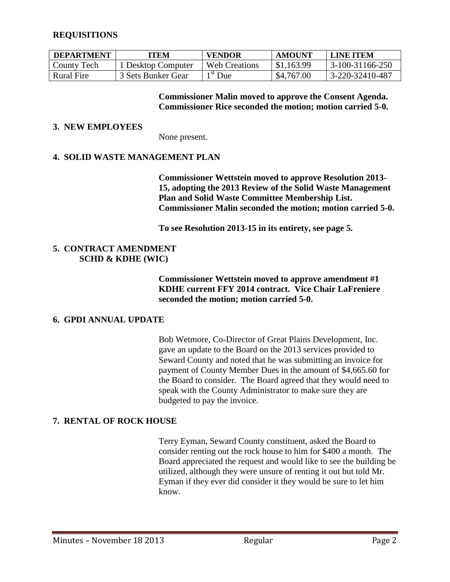## **REQUISITIONS**

| <b>DEPARTMENT</b> | 'TEM               | <b>VENDOR</b>               | AMOUNT     | <b>LINE ITEM</b> |
|-------------------|--------------------|-----------------------------|------------|------------------|
| County Tech       | Desktop Computer   | <b>Web Creations</b>        | \$1,163.99 | 3-100-31166-250  |
| Rural Fire        | 3 Sets Bunker Gear | $\lambda$ <sup>st</sup> Due | \$4,767.00 | 3-220-32410-487  |

**Commissioner Malin moved to approve the Consent Agenda. Commissioner Rice seconded the motion; motion carried 5-0.**

### **3. NEW EMPLOYEES**

None present.

## **4. SOLID WASTE MANAGEMENT PLAN**

**Commissioner Wettstein moved to approve Resolution 2013- 15, adopting the 2013 Review of the Solid Waste Management Plan and Solid Waste Committee Membership List. Commissioner Malin seconded the motion; motion carried 5-0.**

**To see Resolution 2013-15 in its entirety, see page 5.**

## **5. CONTRACT AMENDMENT SCHD & KDHE (WIC)**

**Commissioner Wettstein moved to approve amendment #1 KDHE current FFY 2014 contract. Vice Chair LaFreniere seconded the motion; motion carried 5-0.**

### **6. GPDI ANNUAL UPDATE**

Bob Wetmore, Co-Director of Great Plains Development, Inc. gave an update to the Board on the 2013 services provided to Seward County and noted that he was submitting an invoice for payment of County Member Dues in the amount of \$4,665.60 for the Board to consider. The Board agreed that they would need to speak with the County Administrator to make sure they are budgeted to pay the invoice.

### **7. RENTAL OF ROCK HOUSE**

Terry Eyman, Seward County constituent, asked the Board to consider renting out the rock house to him for \$400 a month. The Board appreciated the request and would like to see the building be utilized, although they were unsure of renting it out but told Mr. Eyman if they ever did consider it they would be sure to let him know.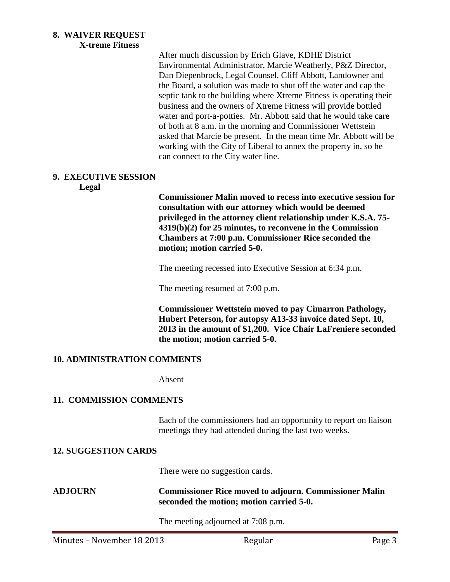#### **8. WAIVER REQUEST X-treme Fitness**

After much discussion by Erich Glave, KDHE District Environmental Administrator, Marcie Weatherly, P&Z Director, Dan Diepenbrock, Legal Counsel, Cliff Abbott, Landowner and the Board, a solution was made to shut off the water and cap the septic tank to the building where Xtreme Fitness is operating their business and the owners of Xtreme Fitness will provide bottled water and port-a-potties. Mr. Abbott said that he would take care of both at 8 a.m. in the morning and Commissioner Wettstein asked that Marcie be present. In the mean time Mr. Abbott will be working with the City of Liberal to annex the property in, so he can connect to the City water line.

## **9. EXECUTIVE SESSION**

**Legal**

**Commissioner Malin moved to recess into executive session for consultation with our attorney which would be deemed privileged in the attorney client relationship under K.S.A. 75- 4319(b)(2) for 25 minutes, to reconvene in the Commission Chambers at 7:00 p.m. Commissioner Rice seconded the motion; motion carried 5-0.**

The meeting recessed into Executive Session at 6:34 p.m.

The meeting resumed at 7:00 p.m.

**Commissioner Wettstein moved to pay Cimarron Pathology, Hubert Peterson, for autopsy A13-33 invoice dated Sept. 10, 2013 in the amount of \$1,200. Vice Chair LaFreniere seconded the motion; motion carried 5-0.**

### **10. ADMINISTRATION COMMENTS**

Absent

## **11. COMMISSION COMMENTS**

Each of the commissioners had an opportunity to report on liaison meetings they had attended during the last two weeks.

### **12. SUGGESTION CARDS**

There were no suggestion cards.

### **ADJOURN Commissioner Rice moved to adjourn. Commissioner Malin seconded the motion; motion carried 5-0.**

The meeting adjourned at 7:08 p.m.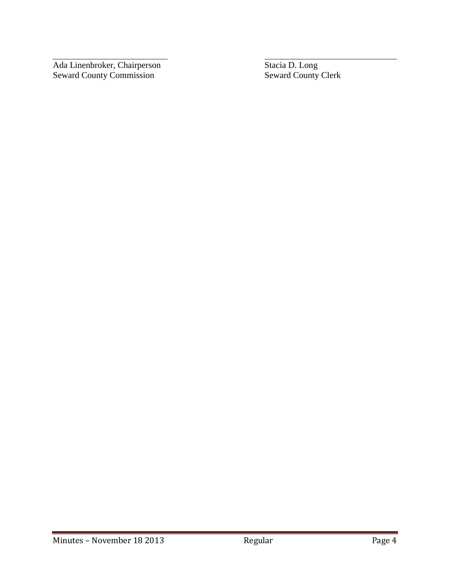Ada Linenbroker, Chairperson Stacia D. Long Seward County Commission Seward County Clerk

 $\overline{a}$